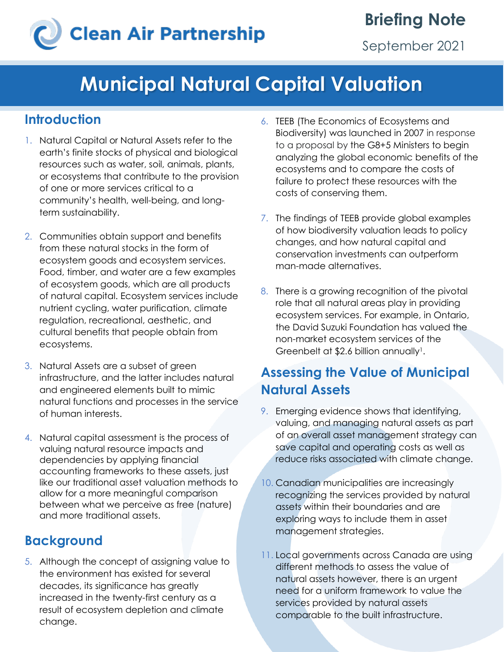# **Clean Air Partnership**

September 2021

### **Municipal Natural Capital Valuation**

#### **Introduction**

- 1. Natural Capital or Natural Assets refer to the earth's finite stocks of physical and biological resources such as water, soil, animals, plants, or ecosystems that contribute to the provision of one or more services critical to a community's health, well-being, and longterm sustainability.
- 2. Communities obtain support and benefits from these natural stocks in the form of ecosystem goods and ecosystem services. Food, timber, and water are a few examples of ecosystem goods, which are all products of natural capital. Ecosystem services include nutrient cycling, water purification, climate regulation, recreational, aesthetic, and cultural benefits that people obtain from ecosystems.
- 3. Natural Assets are a subset of green infrastructure, and the latter includes natural and engineered elements built to mimic natural functions and processes in the service of human interests.
- 4. Natural capital assessment is the process of valuing natural resource impacts and dependencies by applying financial accounting frameworks to these assets, just like our traditional asset valuation methods to allow for a more meaningful comparison between what we perceive as free (nature) and more traditional assets.

### **Background**

5. Although the concept of assigning value to the environment has existed for several decades, its significance has greatly increased in the twenty-first century as a result of ecosystem depletion and climate change.

- 6. TEEB (The Economics of Ecosystems and Biodiversity) was launched in 2007 in response to a proposal by the G8+5 Ministers to begin analyzing the global economic benefits of the ecosystems and to compare the costs of failure to protect these resources with the costs of conserving them.
- 7. The findings of TEEB provide global examples of how biodiversity valuation leads to policy changes, and how natural capital and conservation investments can outperform man-made alternatives.
- 8. There is a growing recognition of the pivotal role that all natural areas play in providing ecosystem services. For example, in Ontario, the David Suzuki Foundation has valued the non-market ecosystem services of the Greenbelt at \$2.6 billion annually<sup>1</sup>.

### **Assessing the Value of Municipal Natural Assets**

- 9. Emerging evidence shows that identifying, valuing, and managing natural assets as part of an overall asset management strategy can save capital and operating costs as well as reduce risks associated with climate change.
- 10. Canadian municipalities are increasingly recognizing the services provided by natural assets within their boundaries and are exploring ways to include them in asset management strategies.
- 11. Local governments across Canada are using different methods to assess the value of natural assets however, there is an urgent need for a uniform framework to value the services provided by natural assets comparable to the built infrastructure.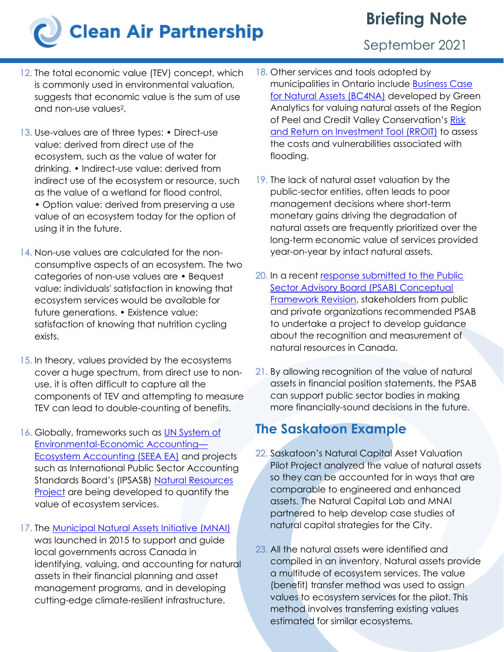## **Clean Air Partnership**

### **Briefing Note**

September 2021

- 12. The total economic value (TEV) concept, which is commonly used in environmental valuation, suggests that economic value is the sum of use and non-use values<sup>2</sup>.
- 13. Use-values are of three types: Direct-use value: derived from direct use of the ecosystem, such as the value of water for drinking. • Indirect-use value: derived from indirect use of the ecosystem or resource, such as the value of a wetland for flood control. • Option value: derived from preserving a use value of an ecosystem today for the option of using it in the future.
- 14. Non-use values are calculated for the nonconsumptive aspects of an ecosystem. The two categories of non-use values are • Bequest value: individuals' satisfaction in knowing that ecosystem services would be available for future generations. • Existence value: satisfaction of knowing that nutrition cycling exists.
- 15. In theory, values provided by the ecosystems cover a huge spectrum, from direct use to nonuse, it is often difficult to capture all the components of TEV and attempting to measure TEV can lead to double-counting of benefits.
- 16. Globally, frameworks such as [UN System of](https://seea.un.org/ecosystem-accounting)  [Environmental-Economic Accounting](https://seea.un.org/ecosystem-accounting)— [Ecosystem Accounting \(SEEA EA\)](https://seea.un.org/ecosystem-accounting) and projects such as International Public Sector Accounting Standards Board's (IPSASB) [Natural Resources](https://www.ipsasb.org/consultations-projects/natural-resources) **[Project](https://www.ipsasb.org/consultations-projects/natural-resources)** are being developed to quantify the value of ecosystem services.
- 17. The [Municipal Natural Assets Initiative \(MNAI\)](https://mnai.ca/) was launched in 2015 to support and guide local governments across Canada in identifying, valuing, and accounting for natural assets in their financial planning and asset management programs, and in developing cutting-edge climate-resilient infrastructure.
- 18. Other services and tools adopted by municipalities in Ontario include [Business Case](https://www.greenanalytics.ca/natural-assets)  [for Natural Assets \(BC4NA\)](https://www.greenanalytics.ca/natural-assets) developed by Green Analytics for valuing natural assets of the Region of Peel and Credit Valley Conservation's Risk [and Return on Investment Tool \(RROIT\)](https://risksciences.com/rroit/) to assess the costs and vulnerabilities associated with flooding.
- 19. The lack of natural asset valuation by the public-sector entities, often leads to poor management decisions where short-term monetary gains driving the degradation of natural assets are frequently prioritized over the long-term economic value of services provided year-on-year by intact natural assets.
- 20. In a recent [response submitted to the](https://www.intactcentreclimateadaptation.ca/wp-content/uploads/2021/07/2021-06-30-PSAB-Joint-Response-ICCA-KMPG-MNAI-Natural-Assets.pdf) Public **Sector Advisory Board (PSAB) Conceptual** [Framework](https://www.intactcentreclimateadaptation.ca/wp-content/uploads/2021/07/2021-06-30-PSAB-Joint-Response-ICCA-KMPG-MNAI-Natural-Assets.pdf) Revision, stakeholders from public and private organizations recommended PSAB to undertake a project to develop guidance about the recognition and measurement of natural resources in Canada.
- 21. By allowing recognition of the value of natural assets in financial position statements, the PSAB can support public sector bodies in making more financially-sound decisions in the future.

### **The Saskatoon Example**

- 22. Saskatoon's Natural Capital Asset Valuation Pilot Project analyzed the value of natural assets so they can be accounted for in ways that are comparable to engineered and enhanced assets. The Natural Capital Lab and MNAI partnered to help develop case studies of natural capital strategies for the City.
- 23. All the natural assets were identified and compiled in an inventory. Natural assets provide a multitude of ecosystem services. The value (benefit) transfer method was used to assign values to ecosystem services for the pilot. This method involves transferring existing values estimated for similar ecosystems.